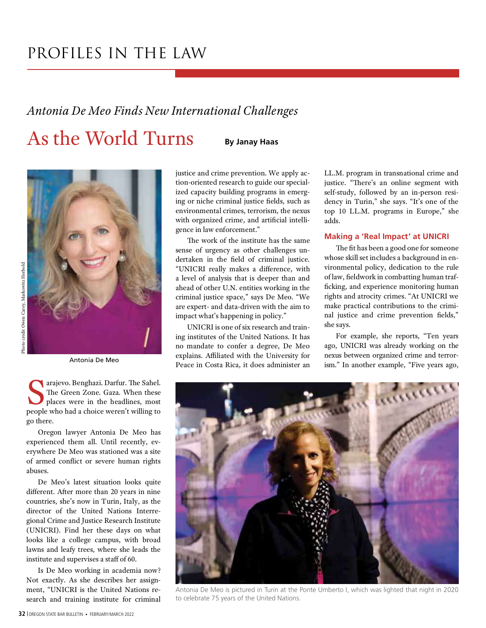### PROFILES IN THE LAW

### Antonia De Meo Finds New International Challenges

### As the World Turns

By Janay Haas



The Green Zon<br>The Green Zon<br>places were in arajevo. Benghazi. Darfur. The Sahel. The Green Zone. Gaza. When these places were in the headlines, most people who had a choice weren't willing to go there.

Oregon lawyer Antonia De Meo has experienced them all. Until recently, everywhere De Meo was stationed was a site of armed conflict or severe human rights abuses.

De Meo's latest situation looks quite different. After more than 20 years in nine countries, she's now in Turin, Italy, as the director of the United Nations Interregional Crime and Justice Research Institute (UNICRI). Find her these days on what looks like a college campus, with broad lawns and leafy trees, where she leads the institute and supervises a staff of 60.

Is De Meo working in academia now? Not exactly. As she describes her assignment, "UNICRI is the United Nations research and training institute for criminal justice and crime prevention. We apply action-oriented research to guide our specialized capacity building programs in emerging or niche criminal justice fields, such as environmental crimes, terrorism, the nexus with organized crime, and artificial intelligence in law enforcement."

The work of the institute has the same sense of urgency as other challenges undertaken in the field of criminal justice. "UNICRI really makes a difference, with a level of analysis that is deeper than and ahead of other U.N. entities working in the criminal justice space," says De Meo. "We are expert- and data-driven with the aim to impact what's happening in policy."

UNICRI is one of six research and training institutes of the United Nations. It has no mandate to confer a degree, De Meo explains. Affiliated with the University for Peace in Costa Rica, it does administer an Antonia De Meo<br>Peace in Costa Rica, it does administer an ism." In another example, "Five years ago,

LL.M. program in transnational crime and justice. "There's an online segment with self-study, followed by an in-person residency in Turin," she says. "It's one of the top 10 LL.M. programs in Europe," she adds.

#### Making a 'Real Impact' at UNICRI

The fit has been a good one for someone whose skill set includes a background in environmental policy, dedication to the rule of law, fieldwork in combatting human trafficking, and experience monitoring human rights and atrocity crimes. "At UNICRI we make practical contributions to the criminal justice and crime prevention fields," she says.

For example, she reports, "Ten years ago, UNICRI was already working on the nexus between organized crime and terror-



Antonia De Meo is pictured in Turin at the Ponte Umberto I, which was lighted that night in 2020 to celebrate 75 years of the United Nations.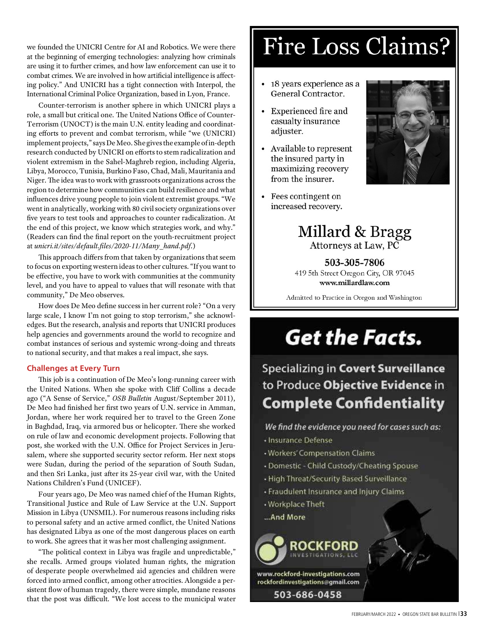at the beginning of emerging technologies: analyzing how criminals are using it to further crimes, and how law enforcement can use it to combat crimes. We are involved in how artificial intelligence is affecting policy." And UNICRI has a tight connection with Interpol, the  $\|\cdot\|$  18 years experience as a International Criminal Police Organization, based in Lyon, France.

Counter-terrorism is another sphere in which UNICRI plays a  $\blacksquare$ . Experienced fire and role, a small but critical one. The United Nations Office of Counter-Terrorism (UNOCT) is the main U.N. entity leading and coordinating efforts to prevent and combat terrorism, while "we (UNICRI) implement projects," says De Meo. She gives the example of in-depth research conducted by UNICRI on efforts to stem radicalization and violent extremism in the Sahel-Maghreb region, including Algeria, Libya, Morocco, Tunisia, Burkino Faso, Chad, Mali, Mauritania and Niger. The idea was to work with grassroots organizations across the region to determine how communities can build resilience and what<br>influences drive young people to join violent extremist groups "We influences drive young people to join violent extremist groups. "We went in analytically, working with 80 civil society organizations over five years to test tools and approaches to counter radicalization. At the end of this project, we know which strategies work, and why." (Readers can find the final report on the youth-recruitment project at unicri.it/sites/default.files/2020-11/Many\_hand.pdf.)

This approach differs from that taken by organizations that seem to focus on exporting western ideas to other cultures. "If you want to be effective, you have to work with communities at the community level, and you have to appeal to values that will resonate with that community," De Meo observes.

How does De Meo define success in her current role? "On a very large scale, I know I'm not going to stop terrorism," she acknowledges. But the research, analysis and reports that UNICRI produces help agencies and governments around the world to recognize and combat instances of serious and systemic wrong-doing and threats to national security, and that makes a real impact, she says.

#### Challenges at Every Turn

the United Nations. When she spoke with Cliff Collins a decade ago ("A Sense of Service," OSB Bulletin August/September 2011),<br>De Meo had finished her first two years of U.N. service in Amman. **Complete Confidentiality** De Meo had finished her first two years of U.N. service in Amman, Jordan, where her work required her to travel to the Green Zone in Baghdad, Iraq, via armored bus or helicopter. There she worked on rule of law and economic development projects. Following that post, she worked with the U.N. Office for Project Services in Jerusalem, where she supported security sector reform. Her next stops were Sudan, during the period of the separation of South Sudan, and then Sri Lanka, just after its 25-year civil war, with the United Nations Children's Fund (UNICEF).

Four years ago, De Meo was named chief of the Human Rights, Transitional Justice and Rule of Law Service at the U.N. Support Mission in Libya (UNSMIL). For numerous reasons including risks to personal safety and an active armed conflict, the United Nations has designated Libya as one of the most dangerous places on earth to work. She agrees that it was her most challenging assignment.<br>"The political context in Libya was fragile and unpredictable,"

she recalls. Armed groups violated human rights, the migration of desperate people overwhelmed aid agencies and children were forced into armed conflict, among other atrocities. Alongside a persistent flow of human tragedy, there were simple, mundane reasons that the post was difficult. "We lost access to the municipal water

## we founded the UNICRI Centre for AI and Robotics. We were there  $\parallel$  Fire Loss Claims?

- General Contractor.
- casualty insurance adjuster.
- the insured party in maximizing recovery from the insurer.
- increased recovery.



#### Millard & Bragg Attorneys at Law, PC

503-305-7806 419 5th Street Oregon City, OR 97045 www.millardlaw.com

Admitted to Practice in Oregon and Washington

### **Get the Facts.**

### **Specializing in Covert Surveillance** This job is a continuation of De Meo's long-running career with<br>United Nations, When she spoke with Cliff Collins a decade to Produce Objective Evidence in

We find the evidence you need for cases such as:

- · Insurance Defense
- · Workers' Compensation Claims
- Domestic Child Custody/Cheating Spouse
- High Threat/Security Based Surveillance
- Fraudulent Insurance and Injury Claims
- Workplace Theft
- ...And More



rockfordinvestigations@gmail.com

503-686-0458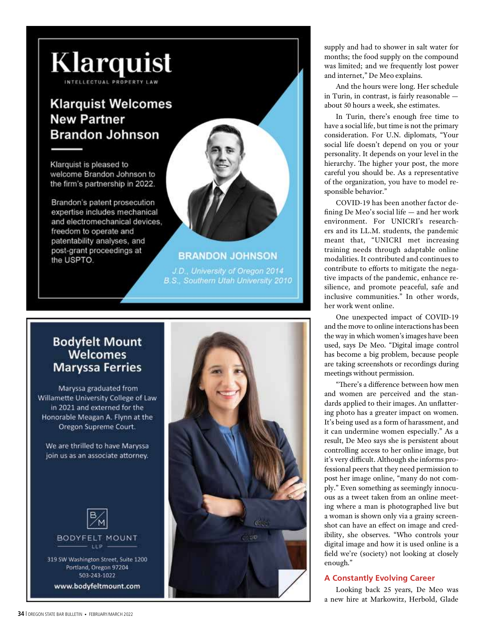

# **Maryssa Ferries**

Maryssa graduated from Willamette University College of Law in 2021 and externed for the Honorable Meagan A. Flynn at the Oregon Supreme Court.

We are thrilled to have Maryssa join us as an associate attorney.



Portland, Oregon 97204 503-243-1022

www.bodyfeltmount.com



supply and had to shower in salt water for months; the food supply on the compound was limited; and we frequently lost power and internet," De Meo explains.

And the hours were long. Her schedule in Turin, in contrast, is fairly reasonable about 50 hours a week, she estimates.

In Turin, there's enough free time to have a social life, but time is not the primary consideration. For U.N. diplomats, "Your social life doesn't depend on you or your personality. It depends on your level in the hierarchy. The higher your post, the more careful you should be. As a representative of the organization, you have to model responsible behavior."

COVID-19 has been another factor de-  $\lim_{x \to a}$  De Meo's social life — and her work environment. For UNICRI's researchers and its LL.M. students, the pandemic meant that, "UNICRI met increasing training needs through adaptable online modalities. It contributed and continues to contribute to efforts to mitigate the negative impacts of the pandemic, enhance resilience, and promote peaceful, safe and inclusive communities." In other words, her work went online.

One unexpected impact of COVID-19 and the move to online interactions has been the way in which women's images have been used, says De Meo. "Digital image control has become a big problem, because people are taking screenshots or recordings during meetings without permission.

"There's a difference between how men and women are perceived and the standards applied to their images. An unflattering photo has a greater impact on women. It's being used as a form of harassment, and it can undermine women especially." As a result, De Meo says she is persistent about controlling access to her online image, but it's very difficult. Although she informs professional peers that they need permission to post her image online, "many do not comply." Even something as seemingly innocuous as a tweet taken from an online meeting where a man is photographed live but a woman is shown only via a grainy screenshot can have an effect on image and credibility, she observes. "Who controls your digital image and how it is used online is a<br>field we're (society) not looking at closely enough."

#### A Constantly Evolving Career

Looking back 25 years, De Meo was a new hire at Markowitz, Herbold, Glade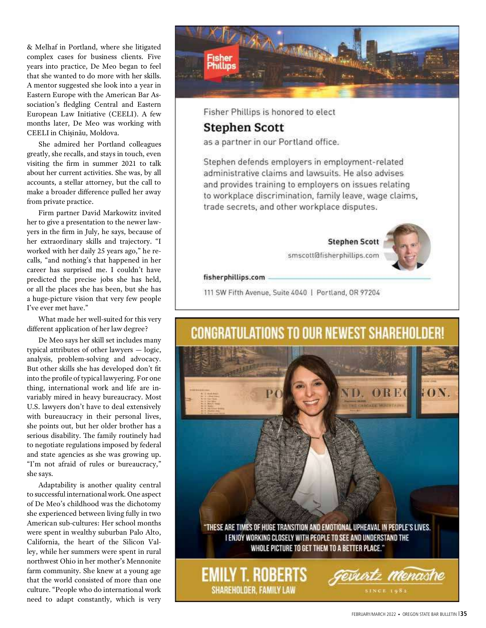& Melhaf in Portland, where she litigated complex cases for business clients. Five years into practice, De Meo began to feel that she wanted to do more with her skills. A mentor suggested she look into a year in Eastern Europe with the American Bar Association's fledgling Central and Eastern European Law Initiative (CEELI). A few months later, De Meo was working with CEELI in Chișinău, Moldova.

She admired her Portland colleagues greatly, she recalls, and stays in touch, even visiting the firm in summer 2021 to talk about her current activities. She was, by all accounts, a stellar attorney, but the call to make a broader difference pulled her away from private practice.

Firm partner David Markowitz invited her to give a presentation to the newer lawyers in the firm in July, he says, because of her extraordinary skills and trajectory. "I worked with her daily 25 years ago," he recalls, "and nothing's that happened in her career has surprised me. I couldn't have predicted the precise jobs she has held, or all the places she has been, but she has a huge-picture vision that very few people I've ever met have."

What made her well-suited for this very

De Meo says her skill set includes many typical attributes of other lawyers — logic, analysis, problem-solving and advocacy. But other skills she has developed don't fit into the profile of typical lawyering. For one thing, international work and life are invariably mired in heavy bureaucracy. Most U.S. lawyers don't have to deal extensively with bureaucracy in their personal lives, she points out, but her older brother has a serious disability. The family routinely had to negotiate regulations imposed by federal and state agencies as she was growing up. "I'm not afraid of rules or bureaucracy," she says.

Adaptability is another quality central to successful international work. One aspect of De Meo's childhood was the dichotomy she experienced between living fully in two American sub-cultures: Her school months were spent in wealthy suburban Palo Alto, California, the heart of the Silicon Valley, while her summers were spent in rural northwest Ohio in her mother's Mennonite farm community. She knew at a young age that the world consisted of more than one culture. "People who do international work need to adapt constantly, which is very



Fisher Phillips is honored to elect

#### **Stephen Scott**

as a partner in our Portland office.

Stephen defends employers in employment-related administrative claims and lawsuits. He also advises and provides training to employers on issues relating to workplace discrimination, family leave, wage claims, trade secrets, and other workplace disputes.

**Stephen Scott** 



smscott@fisherphillips.com

fisherphillips.com

111 SW Fifth Avenue, Suite 4040 | Portland, OR 97204

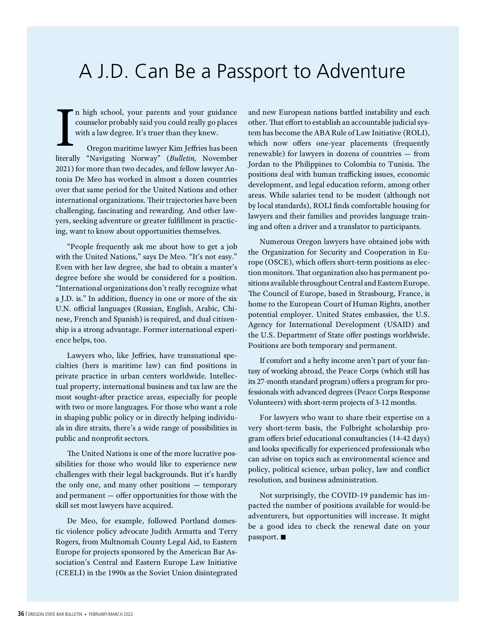### A J.D. Can Be a Passport to Adventure

In high school, your parents and your guidance and r<br>counselor probably said you could really go places other<br>with a law degree. It's truer than they knew. tem l<br>Oregon maritime lawyer Kim Jeffries has been which counselor probably said you could really go places with a law degree. It's truer than they knew.

Oregon maritime lawyer Kim Jeffries has been literally "Navigating Norway" (Bulletin, November 2021) for more than two decades, and fellow lawyer Antonia De Meo has worked in almost a dozen countries over that same period for the United Nations and other international organizations. Their trajectories have been challenging, fascinating and rewarding. And other lawyers, seeking adventure or greater fulfillment in practicing, want to know about opportunities themselves.

"People frequently ask me about how to get a job with the United Nations," says De Meo. "It's not easy." Even with her law degree, she had to obtain a master's degree before she would be considered for a position. "International organizations don't really recognize what a J.D. is." In addition, \uency in one or more of the six U.N. official languages (Russian, English, Arabic, Chinese, French and Spanish) is required, and dual citizenship is a strong advantage. Former international experience helps, too.

Lawyers who, like Jeffries, have transnational specialties (hers is maritime law) can ^nd positions in private practice in urban centers worldwide. Intellectual property, international business and tax law are the most sought-after practice areas, especially for people with two or more languages. For those who want a role in shaping public policy or in directly helping individuals in dire straits, there's a wide range of possibilities in public and nonprofit sectors.

The United Nations is one of the more lucrative possibilities for those who would like to experience new challenges with their legal backgrounds. But it's hardly the only one, and many other positions — temporary and permanent  $-$  offer opportunities for those with the skill set most lawyers have acquired.

De Meo, for example, followed Portland domestic violence policy advocate Judith Armatta and Terry Rogers, from Multnomah County Legal Aid, to Eastern Europe for projects sponsored by the American Bar Association's Central and Eastern Europe Law Initiative (CEELI) in the 1990s as the Soviet Union disintegrated and new European nations battled instability and each other. That effort to establish an accountable judicial system has become the ABA Rule of Law Initiative (ROLI), which now offers one-year placements (frequently renewable) for lawyers in dozens of countries — from Jordan to the Philippines to Colombia to Tunisia. The positions deal with human trafficking issues, economic development, and legal education reform, among other areas. While salaries tend to be modest (although not by local standards), ROLI finds comfortable housing for lawyers and their families and provides language training and often a driver and a translator to participants.

Numerous Oregon lawyers have obtained jobs with the Organization for Security and Cooperation in Europe (OSCE), which offers short-term positions as election monitors. That organization also has permanent positions available throughout Central and Eastern Europe. The Council of Europe, based in Strasbourg, France, is home to the European Court of Human Rights, another potential employer. United States embassies, the U.S. Agency for International Development (USAID) and the U.S. Department of State offer postings worldwide. Positions are both temporary and permanent.

If comfort and a hefty income aren't part of your fantasy of working abroad, the Peace Corps (which still has its 27-month standard program) offers a program for professionals with advanced degrees (Peace Corps Response Volunteers) with short-term projects of 3-12 months.

For lawyers who want to share their expertise on a very short-term basis, the Fulbright scholarship program offers brief educational consultancies (14-42 days) and looks specifically for experienced professionals who can advise on topics such as environmental science and policy, political science, urban policy, law and conflict resolution, and business administration.

Not surprisingly, the COVID-19 pandemic has impacted the number of positions available for would-be adventurers, but opportunities will increase. It might be a good idea to check the renewal date on your passport.  $\blacksquare$